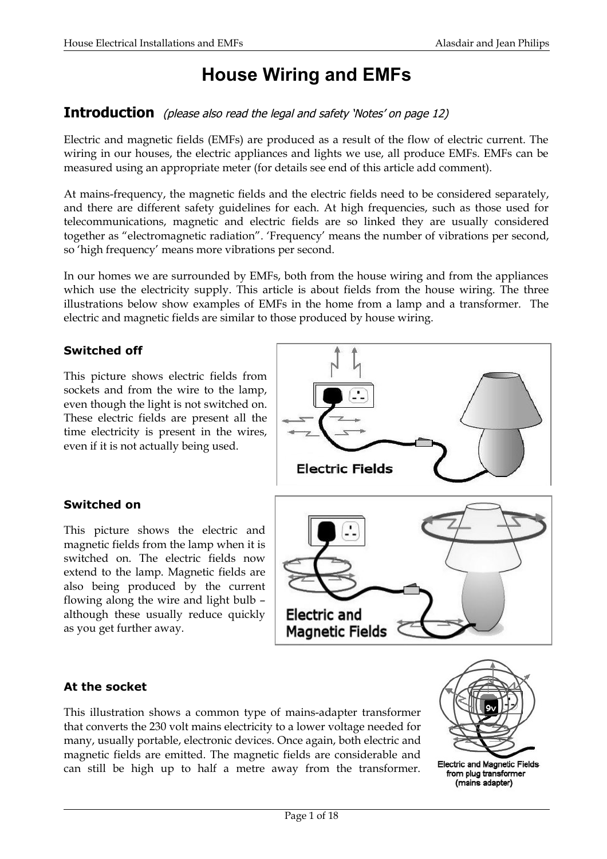## **House Wiring and EMFs**

## **Introduction** (please also read the legal and safety 'Notes' on page 12)

Electric and magnetic fields (EMFs) are produced as a result of the flow of electric current. The wiring in our houses, the electric appliances and lights we use, all produce EMFs. EMFs can be measured using an appropriate meter (for details see end of this article add comment).

At mains-frequency, the magnetic fields and the electric fields need to be considered separately, and there are different safety guidelines for each. At high frequencies, such as those used for telecommunications, magnetic and electric fields are so linked they are usually considered together as "electromagnetic radiation". 'Frequency' means the number of vibrations per second, so 'high frequency' means more vibrations per second.

In our homes we are surrounded by EMFs, both from the house wiring and from the appliances which use the electricity supply. This article is about fields from the house wiring. The three illustrations below show examples of EMFs in the home from a lamp and a transformer. The electric and magnetic fields are similar to those produced by house wiring.

## **Switched off**

This picture shows electric fields from sockets and from the wire to the lamp, even though the light is not switched on. These electric fields are present all the time electricity is present in the wires, even if it is not actually being used.

## **Switched on**

This picture shows the electric and magnetic fields from the lamp when it is switched on. The electric fields now extend to the lamp. Magnetic fields are also being produced by the current flowing along the wire and light bulb – although these usually reduce quickly as you get further away.



## **At the socket**

This illustration shows a common type of mains-adapter transformer that converts the 230 volt mains electricity to a lower voltage needed for many, usually portable, electronic devices. Once again, both electric and magnetic fields are emitted. The magnetic fields are considerable and can still be high up to half a metre away from the transformer.



**Electric and Magnetic Fields** from plug transformer (mains adapter)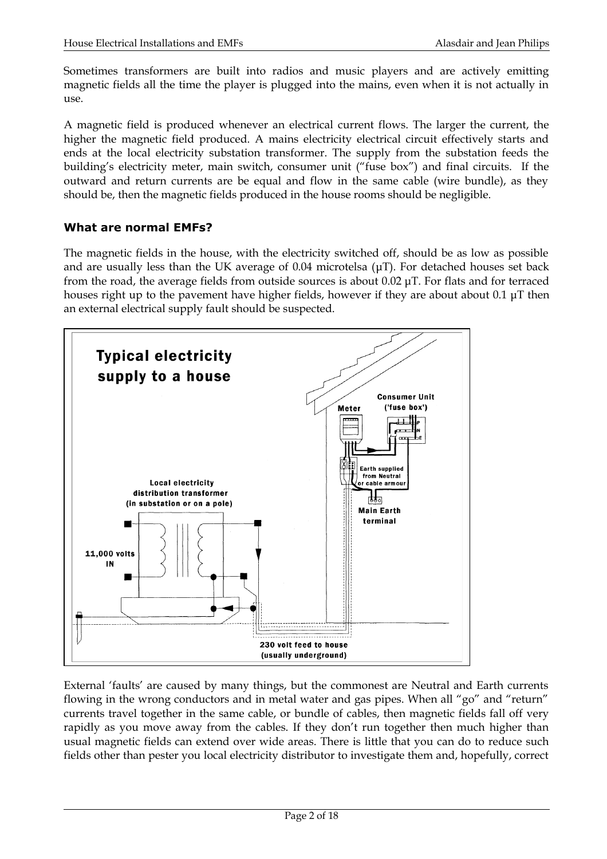Sometimes transformers are built into radios and music players and are actively emitting magnetic fields all the time the player is plugged into the mains, even when it is not actually in use.

A magnetic field is produced whenever an electrical current flows. The larger the current, the higher the magnetic field produced. A mains electricity electrical circuit effectively starts and ends at the local electricity substation transformer. The supply from the substation feeds the building's electricity meter, main switch, consumer unit ("fuse box") and final circuits. If the outward and return currents are be equal and flow in the same cable (wire bundle), as they should be, then the magnetic fields produced in the house rooms should be negligible.

### **What are normal EMFs?**

The magnetic fields in the house, with the electricity switched off, should be as low as possible and are usually less than the UK average of 0.04 microtelsa (μT). For detached houses set back from the road, the average fields from outside sources is about 0.02 μT. For flats and for terraced houses right up to the pavement have higher fields, however if they are about about 0.1 μT then an external electrical supply fault should be suspected.



External 'faults' are caused by many things, but the commonest are Neutral and Earth currents flowing in the wrong conductors and in metal water and gas pipes. When all "go" and "return" currents travel together in the same cable, or bundle of cables, then magnetic fields fall off very rapidly as you move away from the cables. If they don't run together then much higher than usual magnetic fields can extend over wide areas. There is little that you can do to reduce such fields other than pester you local electricity distributor to investigate them and, hopefully, correct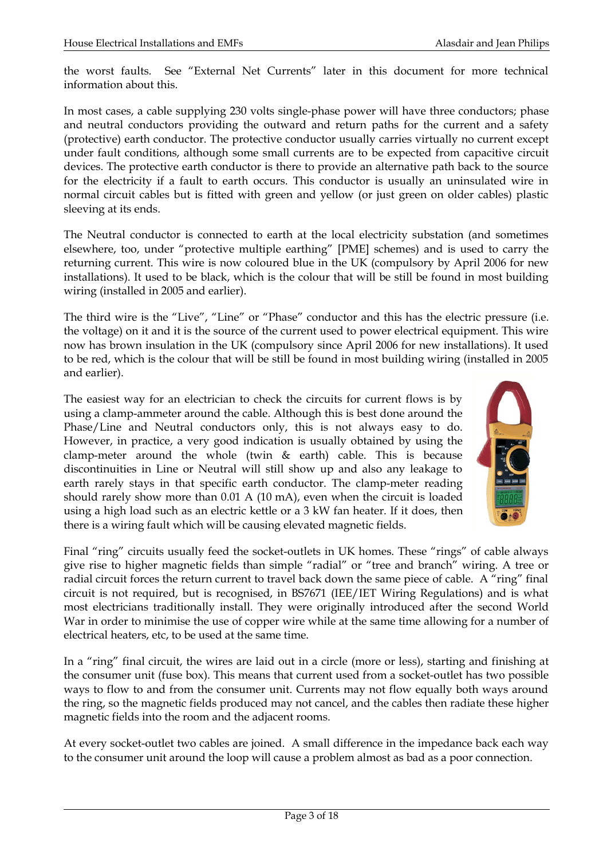the worst faults. See "External Net Currents" later in this document for more technical information about this.

In most cases, a cable supplying 230 volts single-phase power will have three conductors; phase and neutral conductors providing the outward and return paths for the current and a safety (protective) earth conductor. The protective conductor usually carries virtually no current except under fault conditions, although some small currents are to be expected from capacitive circuit devices. The protective earth conductor is there to provide an alternative path back to the source for the electricity if a fault to earth occurs. This conductor is usually an uninsulated wire in normal circuit cables but is fitted with green and yellow (or just green on older cables) plastic sleeving at its ends.

The Neutral conductor is connected to earth at the local electricity substation (and sometimes elsewhere, too, under "protective multiple earthing" [PME] schemes) and is used to carry the returning current. This wire is now coloured blue in the UK (compulsory by April 2006 for new installations). It used to be black, which is the colour that will be still be found in most building wiring (installed in 2005 and earlier).

The third wire is the "Live", "Line" or "Phase" conductor and this has the electric pressure (i.e. the voltage) on it and it is the source of the current used to power electrical equipment. This wire now has brown insulation in the UK (compulsory since April 2006 for new installations). It used to be red, which is the colour that will be still be found in most building wiring (installed in 2005 and earlier).

The easiest way for an electrician to check the circuits for current flows is by using a clamp-ammeter around the cable. Although this is best done around the Phase/Line and Neutral conductors only, this is not always easy to do. However, in practice, a very good indication is usually obtained by using the clamp-meter around the whole (twin & earth) cable. This is because discontinuities in Line or Neutral will still show up and also any leakage to earth rarely stays in that specific earth conductor. The clamp-meter reading should rarely show more than 0.01 A (10 mA), even when the circuit is loaded using a high load such as an electric kettle or a 3 kW fan heater. If it does, then there is a wiring fault which will be causing elevated magnetic fields.



Final "ring" circuits usually feed the socket-outlets in UK homes. These "rings" of cable always give rise to higher magnetic fields than simple "radial" or "tree and branch" wiring. A tree or radial circuit forces the return current to travel back down the same piece of cable. A "ring" final circuit is not required, but is recognised, in BS7671 (IEE/IET Wiring Regulations) and is what most electricians traditionally install. They were originally introduced after the second World War in order to minimise the use of copper wire while at the same time allowing for a number of electrical heaters, etc, to be used at the same time.

In a "ring" final circuit, the wires are laid out in a circle (more or less), starting and finishing at the consumer unit (fuse box). This means that current used from a socket-outlet has two possible ways to flow to and from the consumer unit. Currents may not flow equally both ways around the ring, so the magnetic fields produced may not cancel, and the cables then radiate these higher magnetic fields into the room and the adjacent rooms.

At every socket-outlet two cables are joined. A small difference in the impedance back each way to the consumer unit around the loop will cause a problem almost as bad as a poor connection.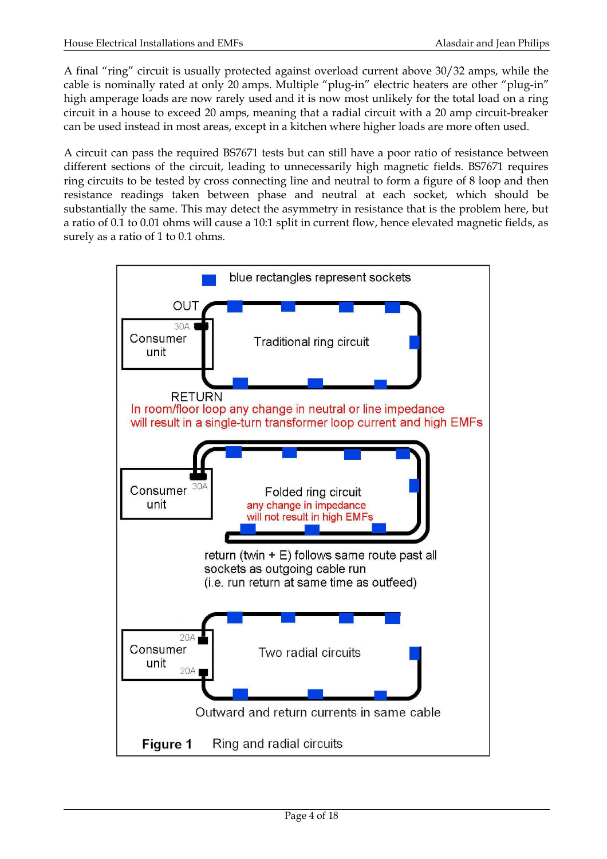A final "ring" circuit is usually protected against overload current above 30/32 amps, while the cable is nominally rated at only 20 amps. Multiple "plug-in" electric heaters are other "plug-in" high amperage loads are now rarely used and it is now most unlikely for the total load on a ring circuit in a house to exceed 20 amps, meaning that a radial circuit with a 20 amp circuit-breaker can be used instead in most areas, except in a kitchen where higher loads are more often used.

A circuit can pass the required BS7671 tests but can still have a poor ratio of resistance between different sections of the circuit, leading to unnecessarily high magnetic fields. BS7671 requires ring circuits to be tested by cross connecting line and neutral to form a figure of 8 loop and then resistance readings taken between phase and neutral at each socket, which should be substantially the same. This may detect the asymmetry in resistance that is the problem here, but a ratio of 0.1 to 0.01 ohms will cause a 10:1 split in current flow, hence elevated magnetic fields, as surely as a ratio of 1 to 0.1 ohms.

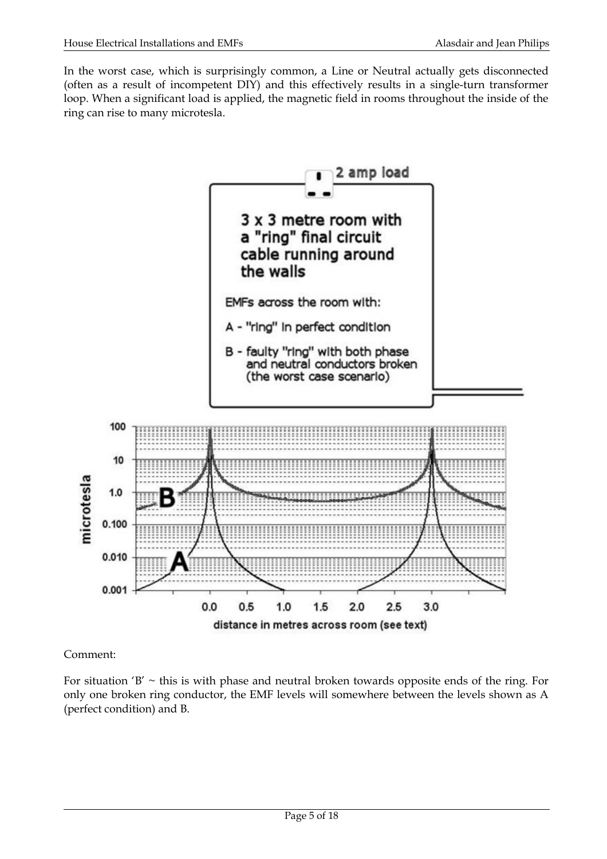In the worst case, which is surprisingly common, a Line or Neutral actually gets disconnected (often as a result of incompetent DIY) and this effectively results in a single-turn transformer loop. When a significant load is applied, the magnetic field in rooms throughout the inside of the ring can rise to many microtesla.



Comment:

For situation 'B'  $\sim$  this is with phase and neutral broken towards opposite ends of the ring. For only one broken ring conductor, the EMF levels will somewhere between the levels shown as A (perfect condition) and B.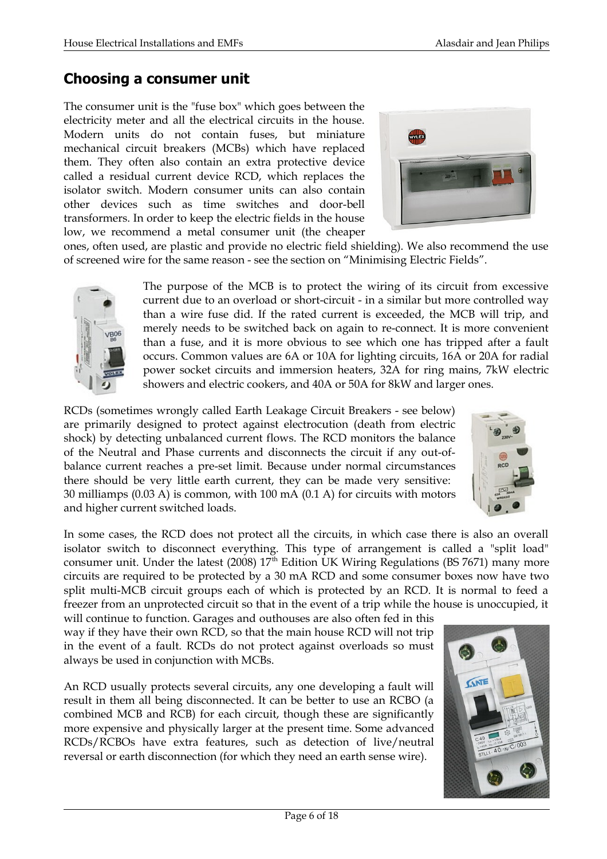## **Choosing a consumer unit**

The consumer unit is the "fuse box" which goes between the electricity meter and all the electrical circuits in the house. Modern units do not contain fuses, but miniature mechanical circuit breakers (MCBs) which have replaced them. They often also contain an extra protective device called a residual current device RCD, which replaces the isolator switch. Modern consumer units can also contain other devices such as time switches and door-bell transformers. In order to keep the electric fields in the house low, we recommend a metal consumer unit (the cheaper



ones, often used, are plastic and provide no electric field shielding). We also recommend the use of screened wire for the same reason - see the section on "Minimising Electric Fields".

> The purpose of the MCB is to protect the wiring of its circuit from excessive current due to an overload or short-circuit - in a similar but more controlled way than a wire fuse did. If the rated current is exceeded, the MCB will trip, and merely needs to be switched back on again to re-connect. It is more convenient than a fuse, and it is more obvious to see which one has tripped after a fault occurs. Common values are 6A or 10A for lighting circuits, 16A or 20A for radial power socket circuits and immersion heaters, 32A for ring mains, 7kW electric showers and electric cookers, and 40A or 50A for 8kW and larger ones.

RCDs (sometimes wrongly called Earth Leakage Circuit Breakers - see below) are primarily designed to protect against electrocution (death from electric shock) by detecting unbalanced current flows. The RCD monitors the balance of the Neutral and Phase currents and disconnects the circuit if any out-ofbalance current reaches a pre-set limit. Because under normal circumstances there should be very little earth current, they can be made very sensitive: 30 milliamps (0.03 A) is common, with 100 mA (0.1 A) for circuits with motors and higher current switched loads.

In some cases, the RCD does not protect all the circuits, in which case there is also an overall isolator switch to disconnect everything. This type of arrangement is called a "split load" consumer unit. Under the latest (2008)  $17<sup>th</sup>$  Edition UK Wiring Regulations (BS 7671) many more circuits are required to be protected by a 30 mA RCD and some consumer boxes now have two split multi-MCB circuit groups each of which is protected by an RCD. It is normal to feed a freezer from an unprotected circuit so that in the event of a trip while the house is unoccupied, it

will continue to function. Garages and outhouses are also often fed in this way if they have their own RCD, so that the main house RCD will not trip in the event of a fault. RCDs do not protect against overloads so must always be used in conjunction with MCBs.

An RCD usually protects several circuits, any one developing a fault will result in them all being disconnected. It can be better to use an RCBO (a combined MCB and RCB) for each circuit, though these are significantly more expensive and physically larger at the present time. Some advanced RCDs/RCBOs have extra features, such as detection of live/neutral reversal or earth disconnection (for which they need an earth sense wire).



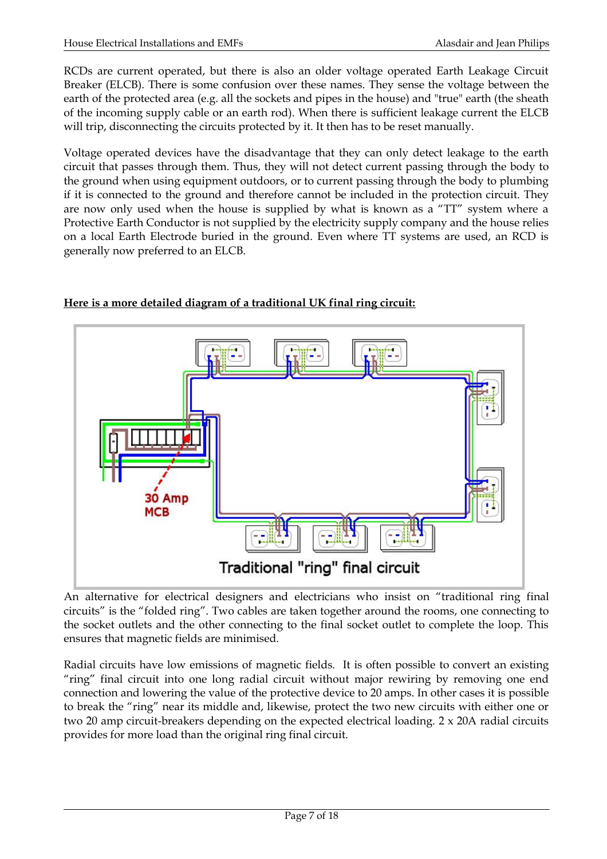RCDs are current operated, but there is also an older voltage operated Earth Leakage Circuit Breaker (ELCB). There is some confusion over these names. They sense the voltage between the earth of the protected area (e.g. all the sockets and pipes in the house) and "true" earth (the sheath of the incoming supply cable or an earth rod). When there is sufficient leakage current the ELCB will trip, disconnecting the circuits protected by it. It then has to be reset manually.

Voltage operated devices have the disadvantage that they can only detect leakage to the earth circuit that passes through them. Thus, they will not detect current passing through the body to the ground when using equipment outdoors, or to current passing through the body to plumbing if it is connected to the ground and therefore cannot be included in the protection circuit. They are now only used when the house is supplied by what is known as a "TT" system where a Protective Earth Conductor is not supplied by the electricity supply company and the house relies on a local Earth Electrode buried in the ground. Even where TT systems are used, an RCD is generally now preferred to an ELCB.



## **Here is a more detailed diagram of a traditional UK final ring circuit:**

An alternative for electrical designers and electricians who insist on "traditional ring final circuits" is the "folded ring". Two cables are taken together around the rooms, one connecting to the socket outlets and the other connecting to the final socket outlet to complete the loop. This ensures that magnetic fields are minimised.

Radial circuits have low emissions of magnetic fields. It is often possible to convert an existing "ring" final circuit into one long radial circuit without major rewiring by removing one end connection and lowering the value of the protective device to 20 amps. In other cases it is possible to break the "ring" near its middle and, likewise, protect the two new circuits with either one or two 20 amp circuit-breakers depending on the expected electrical loading. 2 x 20A radial circuits provides for more load than the original ring final circuit.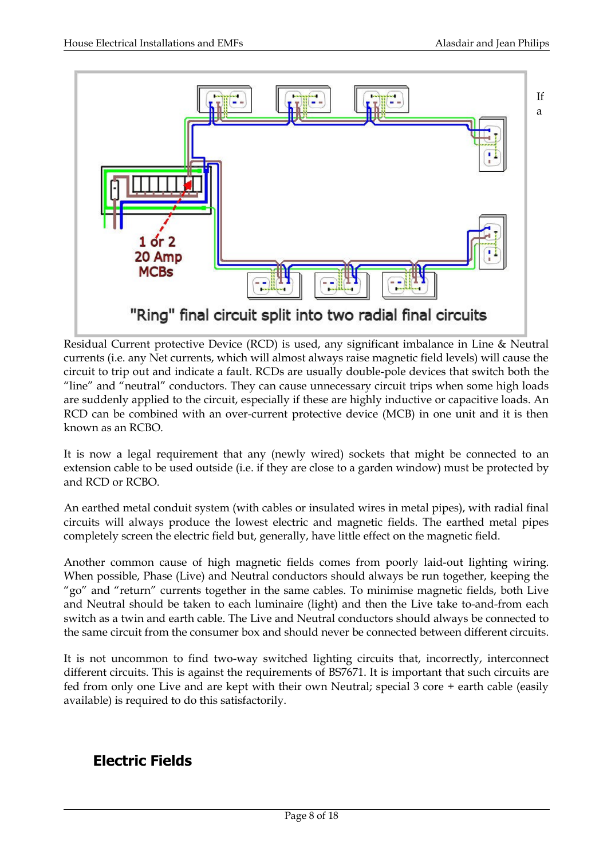

Residual Current protective Device (RCD) is used, any significant imbalance in Line & Neutral currents (i.e. any Net currents, which will almost always raise magnetic field levels) will cause the circuit to trip out and indicate a fault. RCDs are usually double-pole devices that switch both the "line" and "neutral" conductors. They can cause unnecessary circuit trips when some high loads are suddenly applied to the circuit, especially if these are highly inductive or capacitive loads. An RCD can be combined with an over-current protective device (MCB) in one unit and it is then known as an RCBO.

It is now a legal requirement that any (newly wired) sockets that might be connected to an extension cable to be used outside (i.e. if they are close to a garden window) must be protected by and RCD or RCBO.

An earthed metal conduit system (with cables or insulated wires in metal pipes), with radial final circuits will always produce the lowest electric and magnetic fields. The earthed metal pipes completely screen the electric field but, generally, have little effect on the magnetic field.

Another common cause of high magnetic fields comes from poorly laid-out lighting wiring. When possible, Phase (Live) and Neutral conductors should always be run together, keeping the "go" and "return" currents together in the same cables. To minimise magnetic fields, both Live and Neutral should be taken to each luminaire (light) and then the Live take to-and-from each switch as a twin and earth cable. The Live and Neutral conductors should always be connected to the same circuit from the consumer box and should never be connected between different circuits.

It is not uncommon to find two-way switched lighting circuits that, incorrectly, interconnect different circuits. This is against the requirements of BS7671. It is important that such circuits are fed from only one Live and are kept with their own Neutral; special 3 core + earth cable (easily available) is required to do this satisfactorily.

## **Electric Fields**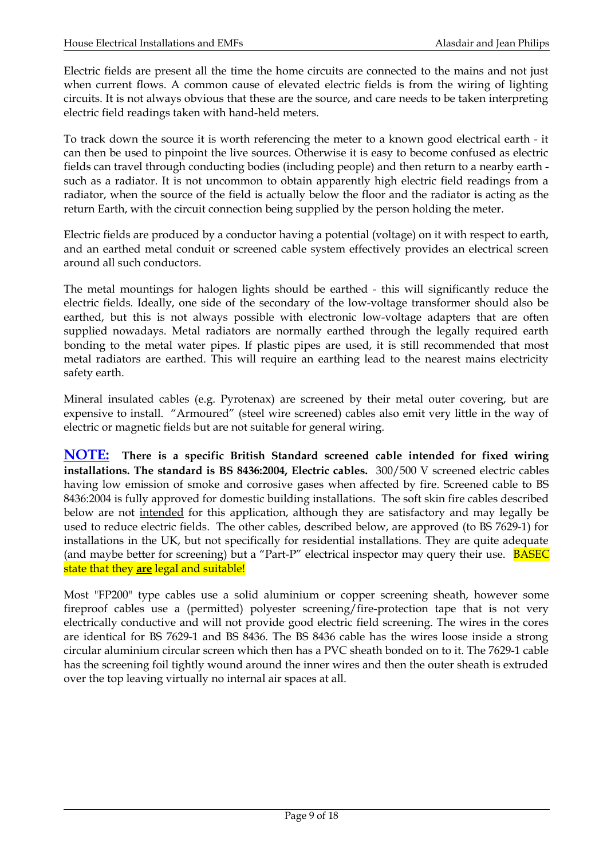Electric fields are present all the time the home circuits are connected to the mains and not just when current flows. A common cause of elevated electric fields is from the wiring of lighting circuits. It is not always obvious that these are the source, and care needs to be taken interpreting electric field readings taken with hand-held meters.

To track down the source it is worth referencing the meter to a known good electrical earth - it can then be used to pinpoint the live sources. Otherwise it is easy to become confused as electric fields can travel through conducting bodies (including people) and then return to a nearby earth such as a radiator. It is not uncommon to obtain apparently high electric field readings from a radiator, when the source of the field is actually below the floor and the radiator is acting as the return Earth, with the circuit connection being supplied by the person holding the meter.

Electric fields are produced by a conductor having a potential (voltage) on it with respect to earth, and an earthed metal conduit or screened cable system effectively provides an electrical screen around all such conductors.

The metal mountings for halogen lights should be earthed - this will significantly reduce the electric fields. Ideally, one side of the secondary of the low-voltage transformer should also be earthed, but this is not always possible with electronic low-voltage adapters that are often supplied nowadays. Metal radiators are normally earthed through the legally required earth bonding to the metal water pipes. If plastic pipes are used, it is still recommended that most metal radiators are earthed. This will require an earthing lead to the nearest mains electricity safety earth.

Mineral insulated cables (e.g. Pyrotenax) are screened by their metal outer covering, but are expensive to install. "Armoured" (steel wire screened) cables also emit very little in the way of electric or magnetic fields but are not suitable for general wiring.

**NOTE: There is a specific British Standard screened cable intended for fixed wiring installations. The standard is BS 8436:2004, Electric cables.** 300/500 V screened electric cables having low emission of smoke and corrosive gases when affected by fire. Screened cable to BS 8436:2004 is fully approved for domestic building installations. The soft skin fire cables described below are not intended for this application, although they are satisfactory and may legally be used to reduce electric fields. The other cables, described below, are approved (to BS 7629-1) for installations in the UK, but not specifically for residential installations. They are quite adequate (and maybe better for screening) but a "Part-P" electrical inspector may query their use. **BASEC** state that they **are** legal and suitable!

Most "FP200" type cables use a solid aluminium or copper screening sheath, however some fireproof cables use a (permitted) polyester screening/fire-protection tape that is not very electrically conductive and will not provide good electric field screening. The wires in the cores are identical for BS 7629-1 and BS 8436. The BS 8436 cable has the wires loose inside a strong circular aluminium circular screen which then has a PVC sheath bonded on to it. The 7629-1 cable has the screening foil tightly wound around the inner wires and then the outer sheath is extruded over the top leaving virtually no internal air spaces at all.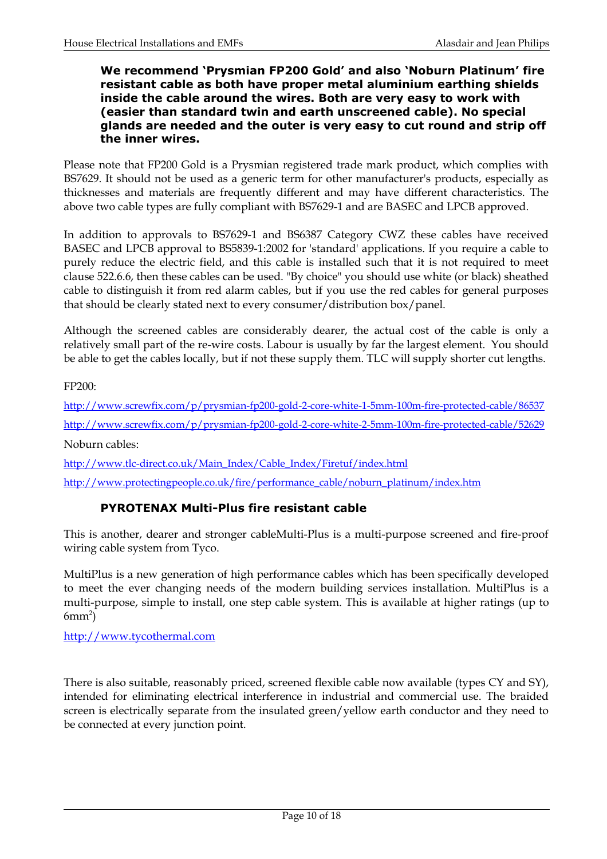### **We recommend 'Prysmian FP200 Gold' and also 'Noburn Platinum' fire resistant cable as both have proper metal aluminium earthing shields inside the cable around the wires. Both are very easy to work with (easier than standard twin and earth unscreened cable). No special glands are needed and the outer is very easy to cut round and strip off the inner wires.**

Please note that FP200 Gold is a Prysmian registered trade mark product, which complies with BS7629. It should not be used as a generic term for other manufacturer's products, especially as thicknesses and materials are frequently different and may have different characteristics. The above two cable types are fully compliant with BS7629-1 and are BASEC and LPCB approved.

In addition to approvals to BS7629-1 and BS6387 Category CWZ these cables have received BASEC and LPCB approval to BS5839-1:2002 for 'standard' applications. If you require a cable to purely reduce the electric field, and this cable is installed such that it is not required to meet clause 522.6.6, then these cables can be used. "By choice" you should use white (or black) sheathed cable to distinguish it from red alarm cables, but if you use the red cables for general purposes that should be clearly stated next to every consumer/distribution box/panel.

Although the screened cables are considerably dearer, the actual cost of the cable is only a relatively small part of the re-wire costs. Labour is usually by far the largest element. You should be able to get the cables locally, but if not these supply them. TLC will supply shorter cut lengths.

FP200:

<http://www.screwfix.com/p/prysmian-fp200-gold-2-core-white-1-5mm-100m-fire-protected-cable/86537> <http://www.screwfix.com/p/prysmian-fp200-gold-2-core-white-2-5mm-100m-fire-protected-cable/52629> Noburn cables:

[http://www.tlc-direct.co.uk/Main\\_Index/Cable\\_Index/Firetuf/index.html](http://www.tlc-direct.co.uk/Main_Index/Cable_Index/Firetuf/index.html) http://www.protectingpeople.co.uk/fire/performance\_cable/noburn\_platinum/index.htm

### **PYROTENAX Multi-Plus fire resistant cable**

This is another, dearer and stronger cableMulti-Plus is a multi-purpose screened and fire-proof wiring cable system from Tyco.

MultiPlus is a new generation of high performance cables which has been specifically developed to meet the ever changing needs of the modern building services installation. MultiPlus is a multi-purpose, simple to install, one step cable system. This is available at higher ratings (up to  $6mm^2$ )

http://www.tycothermal.com

There is also suitable, reasonably priced, screened flexible cable now available (types CY and SY), intended for eliminating electrical interference in industrial and commercial use. The braided screen is electrically separate from the insulated green/yellow earth conductor and they need to be connected at every junction point.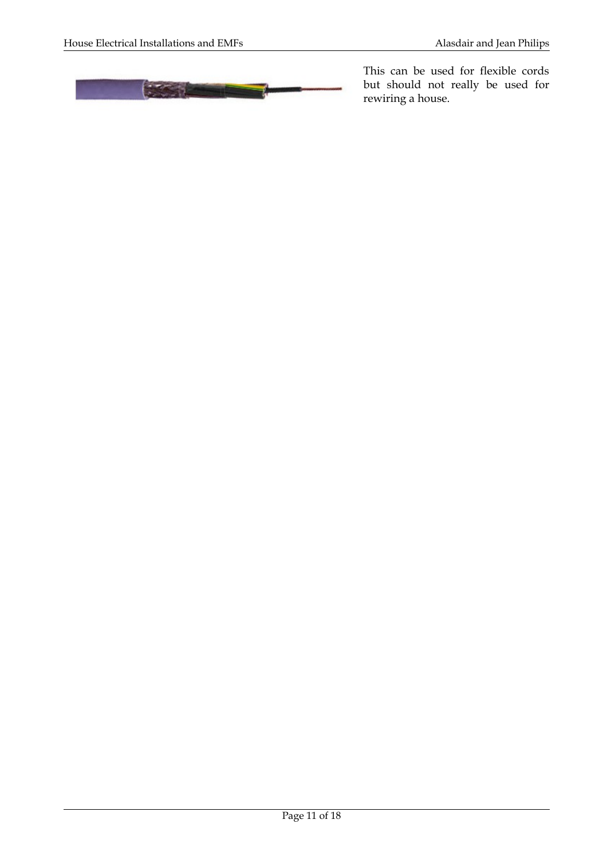

This can be used for flexible cords but should not really be used for rewiring a house.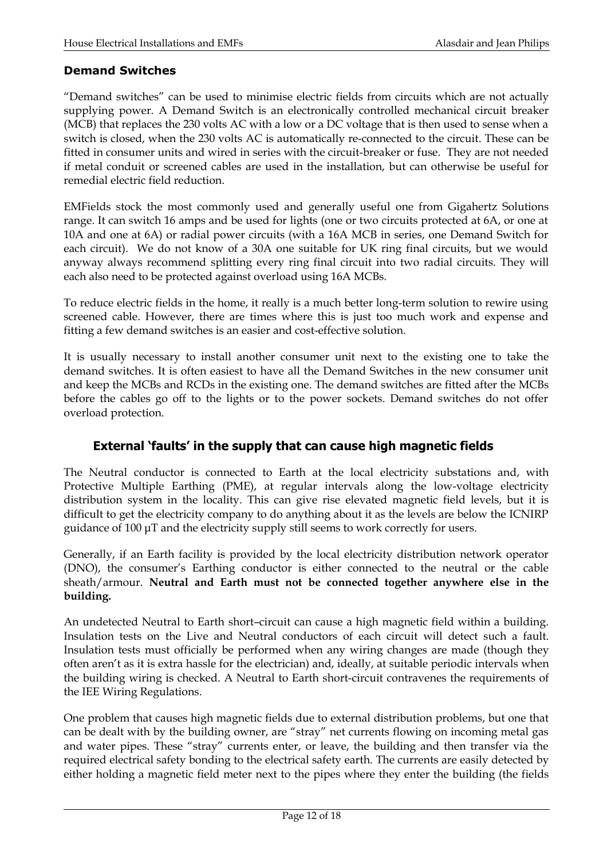### **Demand Switches**

"Demand switches" can be used to minimise electric fields from circuits which are not actually supplying power. A Demand Switch is an electronically controlled mechanical circuit breaker (MCB) that replaces the 230 volts AC with a low or a DC voltage that is then used to sense when a switch is closed, when the 230 volts AC is automatically re-connected to the circuit. These can be fitted in consumer units and wired in series with the circuit-breaker or fuse. They are not needed if metal conduit or screened cables are used in the installation, but can otherwise be useful for remedial electric field reduction.

EMFields stock the most commonly used and generally useful one from Gigahertz Solutions range. It can switch 16 amps and be used for lights (one or two circuits protected at 6A, or one at 10A and one at 6A) or radial power circuits (with a 16A MCB in series, one Demand Switch for each circuit). We do not know of a 30A one suitable for UK ring final circuits, but we would anyway always recommend splitting every ring final circuit into two radial circuits. They will each also need to be protected against overload using 16A MCBs.

To reduce electric fields in the home, it really is a much better long-term solution to rewire using screened cable. However, there are times where this is just too much work and expense and fitting a few demand switches is an easier and cost-effective solution.

It is usually necessary to install another consumer unit next to the existing one to take the demand switches. It is often easiest to have all the Demand Switches in the new consumer unit and keep the MCBs and RCDs in the existing one. The demand switches are fitted after the MCBs before the cables go off to the lights or to the power sockets. Demand switches do not offer overload protection.

## **External 'faults' in the supply that can cause high magnetic fields**

The Neutral conductor is connected to Earth at the local electricity substations and, with Protective Multiple Earthing (PME), at regular intervals along the low-voltage electricity distribution system in the locality. This can give rise elevated magnetic field levels, but it is difficult to get the electricity company to do anything about it as the levels are below the ICNIRP guidance of 100 μT and the electricity supply still seems to work correctly for users.

Generally, if an Earth facility is provided by the local electricity distribution network operator (DNO), the consumer's Earthing conductor is either connected to the neutral or the cable sheath/armour. **Neutral and Earth must not be connected together anywhere else in the building.**

An undetected Neutral to Earth short–circuit can cause a high magnetic field within a building. Insulation tests on the Live and Neutral conductors of each circuit will detect such a fault. Insulation tests must officially be performed when any wiring changes are made (though they often aren't as it is extra hassle for the electrician) and, ideally, at suitable periodic intervals when the building wiring is checked. A Neutral to Earth short-circuit contravenes the requirements of the IEE Wiring Regulations.

One problem that causes high magnetic fields due to external distribution problems, but one that can be dealt with by the building owner, are "stray" net currents flowing on incoming metal gas and water pipes. These "stray" currents enter, or leave, the building and then transfer via the required electrical safety bonding to the electrical safety earth. The currents are easily detected by either holding a magnetic field meter next to the pipes where they enter the building (the fields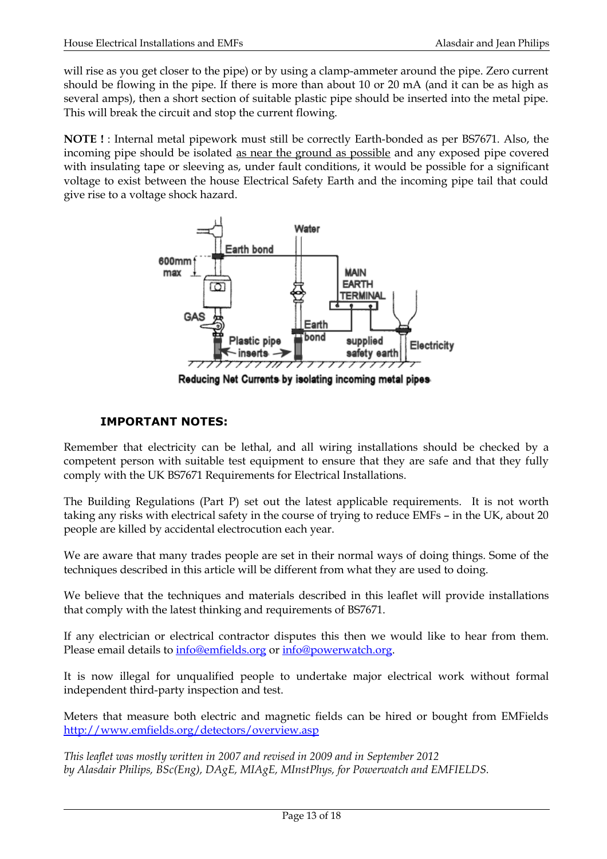will rise as you get closer to the pipe) or by using a clamp-ammeter around the pipe. Zero current should be flowing in the pipe. If there is more than about 10 or 20 mA (and it can be as high as several amps), then a short section of suitable plastic pipe should be inserted into the metal pipe. This will break the circuit and stop the current flowing.

**NOTE !** : Internal metal pipework must still be correctly Earth-bonded as per BS7671. Also, the incoming pipe should be isolated as near the ground as possible and any exposed pipe covered with insulating tape or sleeving as, under fault conditions, it would be possible for a significant voltage to exist between the house Electrical Safety Earth and the incoming pipe tail that could give rise to a voltage shock hazard.



Reducing Net Currents by isolating incoming metal pipes

## **IMPORTANT NOTES:**

Remember that electricity can be lethal, and all wiring installations should be checked by a competent person with suitable test equipment to ensure that they are safe and that they fully comply with the UK BS7671 Requirements for Electrical Installations.

The Building Regulations (Part P) set out the latest applicable requirements. It is not worth taking any risks with electrical safety in the course of trying to reduce EMFs – in the UK, about 20 people are killed by accidental electrocution each year.

We are aware that many trades people are set in their normal ways of doing things. Some of the techniques described in this article will be different from what they are used to doing.

We believe that the techniques and materials described in this leaflet will provide installations that comply with the latest thinking and requirements of BS7671.

If any electrician or electrical contractor disputes this then we would like to hear from them. Please email details to [info@emfields.org](mailto:info@emfields.org) or [info@powerwatch.org.](mailto:info@powerwatch.org)

It is now illegal for unqualified people to undertake major electrical work without formal independent third-party inspection and test.

Meters that measure both electric and magnetic fields can be hired or bought from EMFields <http://www.emfields.org/detectors/overview.asp>

*This leaflet was mostly written in 2007 and revised in 2009 and in September 2012 by Alasdair Philips, BSc(Eng), DAgE, MIAgE, MInstPhys, for Powerwatch and EMFIELDS.*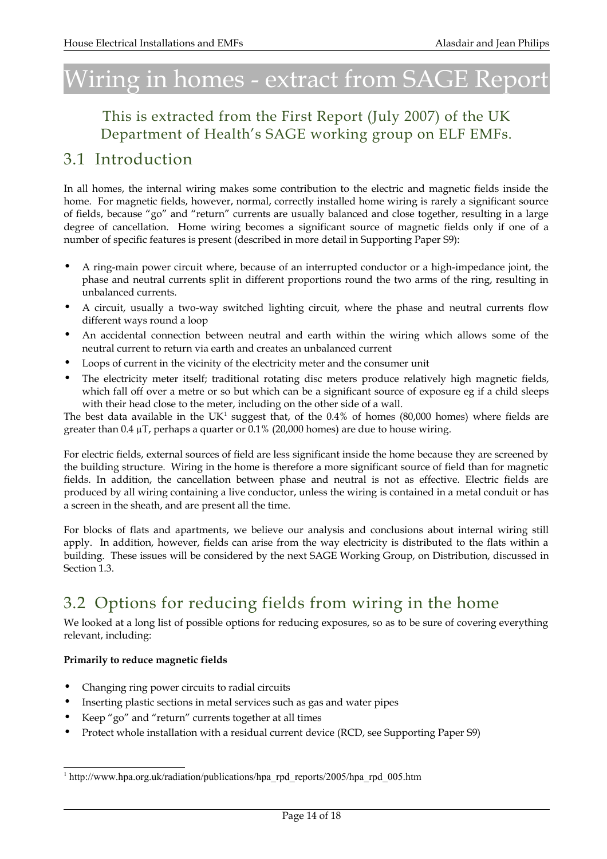# Wiring in homes - extract from SAGE Report

## This is extracted from the First Report (July 2007) of the UK Department of Health's SAGE working group on ELF EMFs.

## 3.1 Introduction

In all homes, the internal wiring makes some contribution to the electric and magnetic fields inside the home. For magnetic fields, however, normal, correctly installed home wiring is rarely a significant source of fields, because "go" and "return" currents are usually balanced and close together, resulting in a large degree of cancellation. Home wiring becomes a significant source of magnetic fields only if one of a number of specific features is present (described in more detail in Supporting Paper S9):

- A ring-main power circuit where, because of an interrupted conductor or a high-impedance joint, the phase and neutral currents split in different proportions round the two arms of the ring, resulting in unbalanced currents.
- A circuit, usually a two-way switched lighting circuit, where the phase and neutral currents flow different ways round a loop
- An accidental connection between neutral and earth within the wiring which allows some of the neutral current to return via earth and creates an unbalanced current
- Loops of current in the vicinity of the electricity meter and the consumer unit
- The electricity meter itself; traditional rotating disc meters produce relatively high magnetic fields, which fall off over a metre or so but which can be a significant source of exposure eg if a child sleeps with their head close to the meter, including on the other side of a wall.

The best data available in the  $UK<sup>1</sup>$  $UK<sup>1</sup>$  $UK<sup>1</sup>$  suggest that, of the 0.4% of homes (80,000 homes) where fields are greater than 0.4  $\mu$ T, perhaps a quarter or 0.1% (20,000 homes) are due to house wiring.

For electric fields, external sources of field are less significant inside the home because they are screened by the building structure. Wiring in the home is therefore a more significant source of field than for magnetic fields. In addition, the cancellation between phase and neutral is not as effective. Electric fields are produced by all wiring containing a live conductor, unless the wiring is contained in a metal conduit or has a screen in the sheath, and are present all the time.

For blocks of flats and apartments, we believe our analysis and conclusions about internal wiring still apply. In addition, however, fields can arise from the way electricity is distributed to the flats within a building. These issues will be considered by the next SAGE Working Group, on Distribution, discussed in Section 1.3.

## 3.2 Options for reducing fields from wiring in the home

We looked at a long list of possible options for reducing exposures, so as to be sure of covering everything relevant, including:

### **Primarily to reduce magnetic fields**

- Changing ring power circuits to radial circuits
- Inserting plastic sections in metal services such as gas and water pipes
- Keep "go" and "return" currents together at all times
- Protect whole installation with a residual current device (RCD, see Supporting Paper S9)

<span id="page-13-0"></span><sup>&</sup>lt;sup>1</sup> http://www.hpa.org.uk/radiation/publications/hpa\_rpd\_reports/2005/hpa\_rpd\_005.htm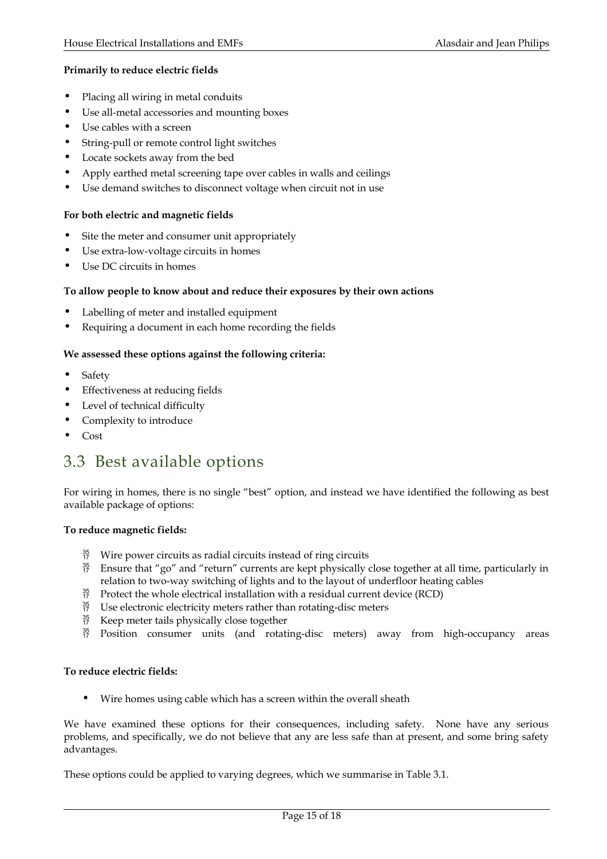### **Primarily to reduce electric fields**

- Placing all wiring in metal conduits
- Use all-metal accessories and mounting boxes
- Use cables with a screen
- String-pull or remote control light switches
- Locate sockets away from the bed
- Apply earthed metal screening tape over cables in walls and ceilings
- Use demand switches to disconnect voltage when circuit not in use

### **For both electric and magnetic fields**

- Site the meter and consumer unit appropriately
- Use extra-low-voltage circuits in homes
- Use DC circuits in homes

### **To allow people to know about and reduce their exposures by their own actions**

- Labelling of meter and installed equipment
- Requiring a document in each home recording the fields

### **We assessed these options against the following criteria:**

- Safety
- Effectiveness at reducing fields
- Level of technical difficulty
- Complexity to introduce
- Cost

## 3.3 Best available options

For wiring in homes, there is no single "best" option, and instead we have identified the following as best available package of options:

### **To reduce magnetic fields:**

- $^{35}_{17}$  Wire power circuits as radial circuits instead of ring circuits
- $^{35}_{17}$  Ensure that "go" and "return" currents are kept physically close together at all time, particularly in relation to two-way switching of lights and to the layout of underfloor heating cables
- $^{35}_{17}$  Protect the whole electrical installation with a residual current device (RCD)
- $^{35}_{17}$  Use electronic electricity meters rather than rotating-disc meters
- $^{35}_{17}$  Keep meter tails physically close together
- $^{35}_{17}$  Position consumer units (and rotating-disc meters) away from high-occupancy areas

### **To reduce electric fields:**

• Wire homes using cable which has a screen within the overall sheath

We have examined these options for their consequences, including safety. None have any serious problems, and specifically, we do not believe that any are less safe than at present, and some bring safety advantages.

These options could be applied to varying degrees, which we summarise in Table 3.1.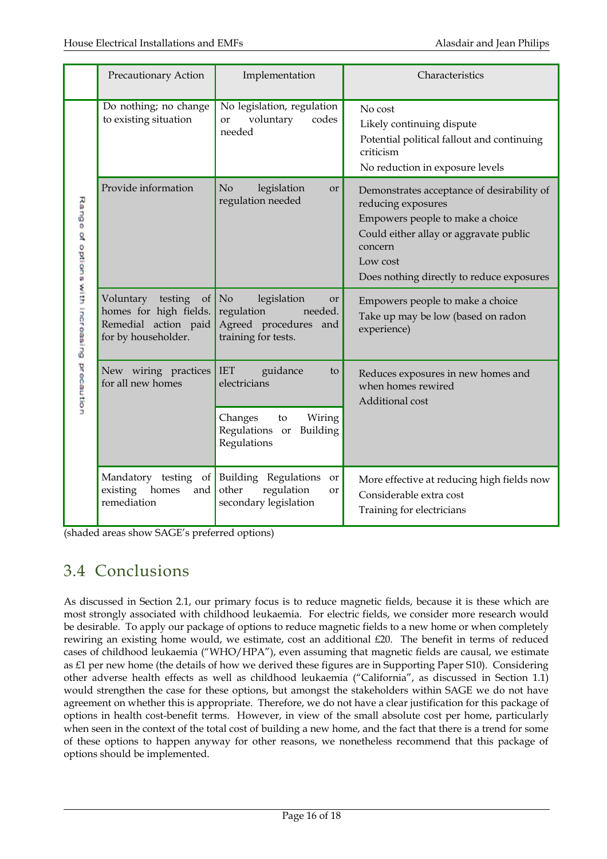|                                             | Precautionary Action                                                                                              | Implementation                                                                                          | Characteristics                                                                                                                                                                                                    |
|---------------------------------------------|-------------------------------------------------------------------------------------------------------------------|---------------------------------------------------------------------------------------------------------|--------------------------------------------------------------------------------------------------------------------------------------------------------------------------------------------------------------------|
| Range of options with increasing precaution | Do nothing; no change<br>to existing situation                                                                    | No legislation, regulation<br>voluntary<br>codes<br>or<br>needed                                        | No cost<br>Likely continuing dispute<br>Potential political fallout and continuing<br>criticism<br>No reduction in exposure levels                                                                                 |
|                                             | Provide information                                                                                               | No<br>legislation<br>or<br>regulation needed                                                            | Demonstrates acceptance of desirability of<br>reducing exposures<br>Empowers people to make a choice<br>Could either allay or aggravate public<br>concern<br>Low cost<br>Does nothing directly to reduce exposures |
|                                             | Voluntary<br>testing<br>$\left  \right $<br>homes for high fields.<br>Remedial action paid<br>for by householder. | No<br>legislation<br><b>or</b><br>regulation<br>needed.<br>Agreed procedures and<br>training for tests. | Empowers people to make a choice<br>Take up may be low (based on radon<br>experience)                                                                                                                              |
|                                             | New wiring practices<br>for all new homes                                                                         | <b>IET</b><br>guidance<br>to<br>electricians<br>Changes<br>Wiring<br>to                                 | Reduces exposures in new homes and<br>when homes rewired<br>Additional cost                                                                                                                                        |
|                                             |                                                                                                                   | Regulations<br>Building<br>or<br>Regulations                                                            |                                                                                                                                                                                                                    |
|                                             | Mandatory testing<br>existing<br>homes<br>and  <br>remediation                                                    | of Building Regulations or<br>regulation<br>other<br><b>or</b><br>secondary legislation                 | More effective at reducing high fields now<br>Considerable extra cost<br>Training for electricians                                                                                                                 |

(shaded areas show SAGE's preferred options)

## 3.4 Conclusions

As discussed in Section 2.1, our primary focus is to reduce magnetic fields, because it is these which are most strongly associated with childhood leukaemia. For electric fields, we consider more research would be desirable. To apply our package of options to reduce magnetic fields to a new home or when completely rewiring an existing home would, we estimate, cost an additional £20. The benefit in terms of reduced cases of childhood leukaemia ("WHO/HPA"), even assuming that magnetic fields are causal, we estimate as £1 per new home (the details of how we derived these figures are in Supporting Paper S10). Considering other adverse health effects as well as childhood leukaemia ("California", as discussed in Section 1.1) would strengthen the case for these options, but amongst the stakeholders within SAGE we do not have agreement on whether this is appropriate. Therefore, we do not have a clear justification for this package of options in health cost-benefit terms. However, in view of the small absolute cost per home, particularly when seen in the context of the total cost of building a new home, and the fact that there is a trend for some of these options to happen anyway for other reasons, we nonetheless recommend that this package of options should be implemented.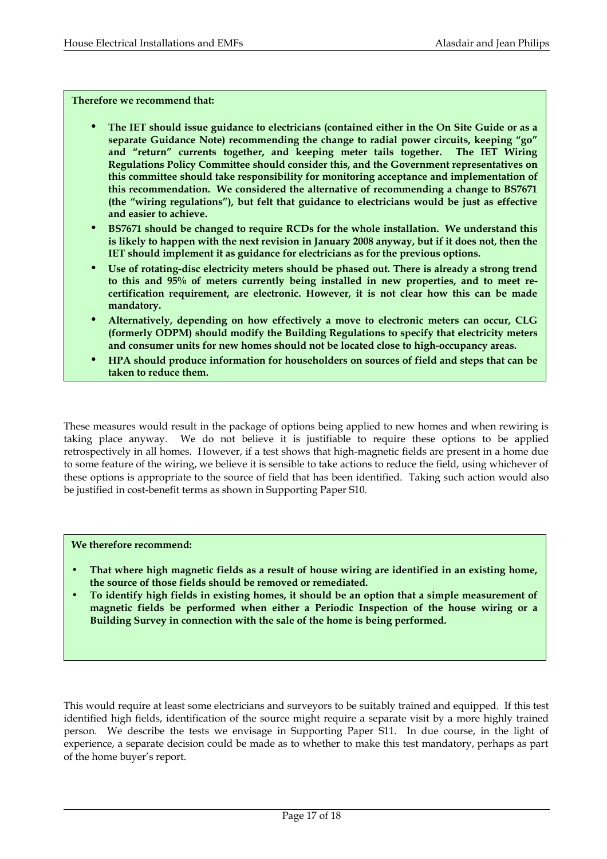#### **Therefore we recommend that:**

- **The IET should issue guidance to electricians (contained either in the On Site Guide or as a separate Guidance Note) recommending the change to radial power circuits, keeping "go" and "return" currents together, and keeping meter tails together. The IET Wiring Regulations Policy Committee should consider this, and the Government representatives on this committee should take responsibility for monitoring acceptance and implementation of this recommendation. We considered the alternative of recommending a change to BS7671 (the "wiring regulations"), but felt that guidance to electricians would be just as effective and easier to achieve.**
- **BS7671 should be changed to require RCDs for the whole installation. We understand this is likely to happen with the next revision in January 2008 anyway, but if it does not, then the IET should implement it as guidance for electricians as for the previous options.**
- **Use of rotating-disc electricity meters should be phased out. There is already a strong trend to this and 95% of meters currently being installed in new properties, and to meet recertification requirement, are electronic. However, it is not clear how this can be made mandatory.**
- **Alternatively, depending on how effectively a move to electronic meters can occur, CLG (formerly ODPM) should modify the Building Regulations to specify that electricity meters and consumer units for new homes should not be located close to high-occupancy areas.**
- **HPA should produce information for householders on sources of field and steps that can be taken to reduce them.**

These measures would result in the package of options being applied to new homes and when rewiring is taking place anyway. We do not believe it is justifiable to require these options to be applied retrospectively in all homes. However, if a test shows that high-magnetic fields are present in a home due to some feature of the wiring, we believe it is sensible to take actions to reduce the field, using whichever of these options is appropriate to the source of field that has been identified. Taking such action would also be justified in cost-benefit terms as shown in Supporting Paper S10.

#### **We therefore recommend:**

- **That where high magnetic fields as a result of house wiring are identified in an existing home, the source of those fields should be removed or remediated.**
- **To identify high fields in existing homes, it should be an option that a simple measurement of magnetic fields be performed when either a Periodic Inspection of the house wiring or a Building Survey in connection with the sale of the home is being performed.**

This would require at least some electricians and surveyors to be suitably trained and equipped. If this test identified high fields, identification of the source might require a separate visit by a more highly trained person. We describe the tests we envisage in Supporting Paper S11. In due course, in the light of experience, a separate decision could be made as to whether to make this test mandatory, perhaps as part of the home buyer's report.